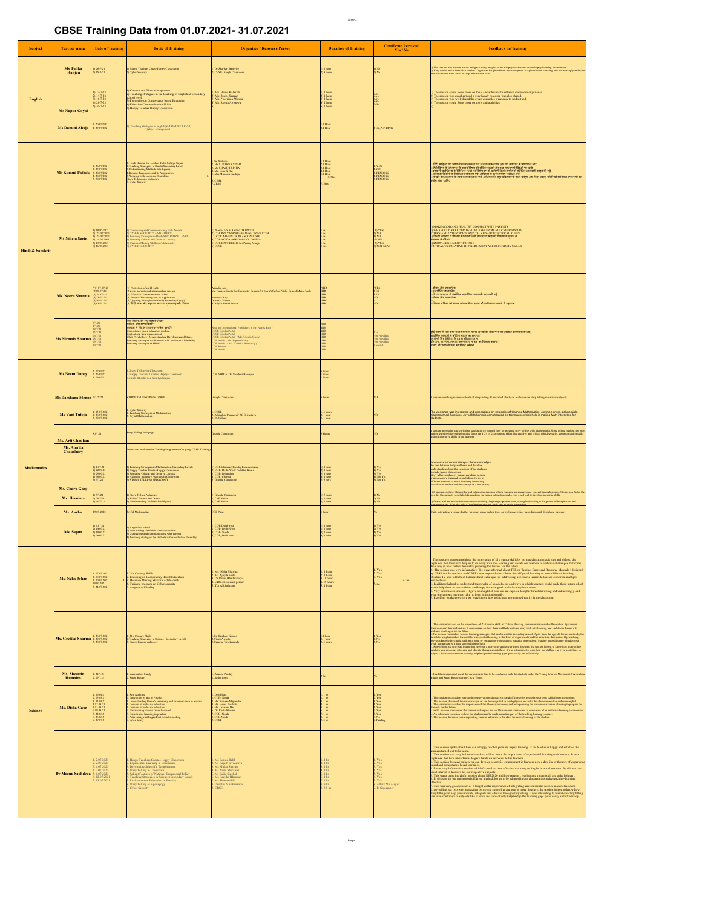## **CBSE Training Data from 01.07.2021- 31.07.2021**

Sheet1

| Subject                     | <b>Teacher name</b>                         | <b>Date of Training</b>                                                                                                                      | <b>Topic of Training</b>                                                                                                                                                                                                                                                                                                                             | <b>Organiser / Resource Person</b>                                                                                                                                                                                                                                    | <b>Duration of Training</b>                                                                                                                    | <b>Certificate Received</b><br>Yes / No                                     | <b>Feedback on Training</b>                                                                                                                                                                                                                                                                                                                                                                                                                                                                                                                                                                                                                                                                                         |  |
|-----------------------------|---------------------------------------------|----------------------------------------------------------------------------------------------------------------------------------------------|------------------------------------------------------------------------------------------------------------------------------------------------------------------------------------------------------------------------------------------------------------------------------------------------------------------------------------------------------|-----------------------------------------------------------------------------------------------------------------------------------------------------------------------------------------------------------------------------------------------------------------------|------------------------------------------------------------------------------------------------------------------------------------------------|-----------------------------------------------------------------------------|---------------------------------------------------------------------------------------------------------------------------------------------------------------------------------------------------------------------------------------------------------------------------------------------------------------------------------------------------------------------------------------------------------------------------------------------------------------------------------------------------------------------------------------------------------------------------------------------------------------------------------------------------------------------------------------------------------------------|--|
|                             | Ms Tulika<br>Ranjan                         | l) 26-7-21<br>2) 15-7-21                                                                                                                     | 1) Happy Teachers Create Happy Classrooms<br>2) Cyber Security                                                                                                                                                                                                                                                                                       | 1) Dr Sharbari Banerjee<br>!) CBSE Google Classroom                                                                                                                                                                                                                   | I hour<br>5 hours                                                                                                                              | ) No<br>) No                                                                | )) The season was a stress buster and gave many insights to be a happy teacher and create happy learning environment.<br>1) Very useful and informative session . It gave an insight of how we are exposed to cyber threats knowi                                                                                                                                                                                                                                                                                                                                                                                                                                                                                   |  |
| English                     | <b>Ms Nupur Goyal</b>                       | $13 - 7 - 21$<br>) 14-7-21<br>) 16-7-21<br>) 28-7-21<br>) 30-7-21                                                                            | Content and Time Management<br>) Content and 1 une Management<br>Cylicated and time teaching of English at Secondary<br>chool level.<br>() Focussing on Compretency based Education<br>() Focussing on Compretency based Education<br>() Hippy Teacher Happy Classroom                                                                               | Ms. Hema Kalakoti<br>  Ms. ricma warrews<br>  Ms. Ruchi Sengar<br>  Ms. Reena Aggarwal<br>  Ms. Reena Aggarwal                                                                                                                                                        | 1 hour<br>l bour<br>l bour<br>l bour<br>l bour                                                                                                 | Yan Tar                                                                     | The session could focus more on tools and activities to enhance classroom experience<br>The session was excellent and a very handy resource was also shared.<br>The session was excellent and a very handy resource was also shared.<br>The session could focus more on tools and activities.                                                                                                                                                                                                                                                                                                                                                                                                                       |  |
|                             | Ms Damini Ahuja                             | l. 20/07/2021<br>4. 27/07/2021                                                                                                               | $\label{lem:main}$ Teaching Strategies in english<br>(SECONDRY LEVEI) 2)Stress Management                                                                                                                                                                                                                                                            |                                                                                                                                                                                                                                                                       | 1 Hour<br>1 Hour                                                                                                                               | <b>FES , PENDING</b>                                                        |                                                                                                                                                                                                                                                                                                                                                                                                                                                                                                                                                                                                                                                                                                                     |  |
| <b>Hindi &amp; Sanskrit</b> | <b>Ms Kumud Pathak</b>                      | 26/07/2021<br>27/07/2021<br>28/07/2021<br>28/07/2021<br>30/07/2021                                                                           | l . Hindi Bhasha Me Lekhan Tatha Sahiya Srijan<br>2 Teaching Strategies in Hindi (Secondary Level)<br>3 Usabatarading Multiple latelligence<br>4 Rissons Taxonomy and its Application<br>5 Working with Learning Disabilities<br>Shory Tellin                                                                                                        | .Dr. Shiksha<br>: Ms SUPARNA SINHA<br>: Ms SHALINI SINHA<br>.<br>Ms. Binu K Raj<br>Mrs Muneera Siddiqui<br><b>CBSE</b><br>CBSE                                                                                                                                        | 1 Hour<br>1 Hour<br>1 Hour<br>1 Hour<br>1 Hour 6. Shrs<br>Shrs                                                                                 | <b>YES</b><br>YES<br>PENDING<br>PENDING<br>PENDING                          | ). प्रिंटी क्रांतिन एवं आप से रफ्तारामस्त एवं सुज्यारामस्त पर जोर एवं तमाजार के प्रयोग पर जोर<br>- सिटी मेच के अध्यायक के साम विषय के परिश्वर प्राप्त है। इस अनुस्तरण मिद्रा पर पायी<br>- ब्रिटीम में अध्यायक के साम लगा था रहे होत                                                                                                                                                                                                                                                                                                                                                                                                                                                                                 |  |
|                             | Ms Niketa Sarin                             | 10/07/2021<br>  22/07/2021<br>  23/07/2021<br>  24/07/2021<br>13/07/2021<br>16/07/2021                                                       | l Connecting and Communicating with Parents<br>5 CYBER SECURITY AND ETHICS<br>5 Teaching Strategies in HindigSECONDRY LEVEL)<br>1 Fostering Critical and Creative Literary<br>1 Decision Making Skill in Adolescents<br>1 CYBER SECURITY                                                                                                             | Noida/MS MANDVI TRIPATHI<br>) NORRE NAS MANNUT I BEFALL IN SEIVASTVA<br>  COE PRAYAGRAHAVADESH SRIVASTVA<br>3} COE AJMER/ DR. PRASOON JOSHI<br>  COE NOIDA /AISHWARYA TANEJA<br>COE EAST DELHI/ Mr Pankaj Munjal                                                      |                                                                                                                                                | 1) YES<br>  NO<br>  NO<br> } YES<br>) YES<br>NOT NOW                        | i) MAKE GOOD AND HEALTHY CONNECT WITH PARENTS.<br>5) WE SHOULD KEEP OUR DEVICES AFFE RROM ALL CYRER FROUD,<br>"THICS AND CYBER SPACE AND TALKED ABOUT ETHICAL RULES.<br>अन्सर से परिजय<br>अन्सर से परिजय<br>अन्सर से परिजय<br>सवकार से परिचय<br>HKNOWLEDGE ABOUT 4 °C' AND<br>CRITICAL VS CREATIVE THINKERS.WHAT ARE 21 CENTURY SKILLS.                                                                                                                                                                                                                                                                                                                                                                             |  |
|                             | Ms. Neeru Sharma                            | (1) 07-07-21<br>2)08-07-21<br>3) 08-07-21<br>4)23-07-21<br>5)30-07-21                                                                        | 1) Protection of child rights<br>2)1976 recently and ethics,online session<br>3) Effective Communication Skills<br>4) Bloomy Taxonomy and its Application<br>5) Teaching Strategies in Hindi (Secondary Level)<br>6) विद्यो साथा और मेहादमा                                                                                                          | Anindita roy<br>Mr. Naveen Gupta Pgt Computer Science St. Mark's Sr.Sec.Public School Meera bagh<br>Maneera Roy<br>De senia Verma<br>(CBE)De Vined Prason                                                                                                             | <b>HR</b><br>IHR<br>IHR<br>1HR<br>1HR<br>2HR                                                                                                   | YES<br>TES<br>TES                                                           | -रोचक और जानवर्धक<br>: अत्यधिक जानवर्धक<br>!-विचार प्रवाहता से संबंधित अत्यधिक जानकारी प्रदान की गई<br>!-रोचक और जानवर्धक<br>.<br>जिल्ला पश्चिमा को रोचक लाग मलेला जान भीर सोमायाम बलाने से सहायक                                                                                                                                                                                                                                                                                                                                                                                                                                                                                                                   |  |
|                             | Ms Nirmala Sharma                           | $\frac{7}{21}$                                                                                                                               | नारा लेखन और लघु महानी लेखन<br>मनिता और भाषा विसास<br>रक्षाओं में चिंट भरा बाताबरण नैनो बलाएँ?<br>besturt at race at or destruct was started<br>Competency based education medale-1<br>Content and time management<br>Thild Phychology - Understanding Developmental Stages<br>Feaching Strategies for Students with Intellectual Disability         | nal Publishers (Mr. Ashok Bira)<br>iew age International Publishers (Mr. As<br>18SE Diksha Portal<br>18SE Diksha Portal<br>18SE Diksha Portal (Ms. Umnia Singh)<br>0E Neida (Ms. Yanbika Bhardwaj)<br>0E Neida (Ms. Yanbika Bhardwaj)<br>0E Bhopal<br><b>OE</b> Noida |                                                                                                                                                | it Provided<br>it Provided<br>vaited                                        | हिंदी आत्म में तत्त्रु कथा के माध्यम से जमला मूरूची की संकल्पना को तराशने का प्रयास करना  <br>दर्शाश्रीक कक्षाओं में कॉलेत मायन का महत्व  <br>फ़ाबी को चिंट मिडिया के दलता सीखाया जय  <br>चीमयता, सांत पछ बीजना का उचित प्रबंधन<br>समय और                                                                                                                                                                                                                                                                                                                                                                                                                                                                           |  |
|                             | <b>Ms Neetu Dubey</b>                       | l. 07/07/21<br>2. 26/07/21<br>3. 29/07/21                                                                                                    | Story Telling in Classroom<br>Happy Teacher Creates Happy Classroom<br>Hindi Bhasha Me Sahitya Srijan                                                                                                                                                                                                                                                | <b>COE NOIDA</b> , Dr. Sharbari Banerjee                                                                                                                                                                                                                              | Hour<br>Hour<br>Hour                                                                                                                           |                                                                             |                                                                                                                                                                                                                                                                                                                                                                                                                                                                                                                                                                                                                                                                                                                     |  |
|                             | Ms Darshana Menon                           | 3/2021                                                                                                                                       | TORY TELLING PEDAGOGY                                                                                                                                                                                                                                                                                                                                | oogle Classroom                                                                                                                                                                                                                                                       | ours                                                                                                                                           |                                                                             | was an enriching session as tools of story telling. It provided clarity on inclusion on story telling in various subjects                                                                                                                                                                                                                                                                                                                                                                                                                                                                                                                                                                                           |  |
|                             | Ms Vani Tuteja                              | 15.07.2021<br>28.07.2021<br>30.07.2021                                                                                                       | Cyber Security<br>Teaching Strategies in Mathematics<br>Joyful Mathematics                                                                                                                                                                                                                                                                           | CBSE<br>Allahabad Prayagraj / RC Srivastava<br>Delhi East                                                                                                                                                                                                             | S hours<br>l hour<br>I hour                                                                                                                    |                                                                             | The workshop was interesting and emphasized on strategies of teaching Mathematics, common errors, polynomials,<br>igonometrical functions, Joyful Mathematics emphasized on teaching Mathematics, common emots, polynomials<br>Isoents.<br>Isoents.                                                                                                                                                                                                                                                                                                                                                                                                                                                                 |  |
|                             | Ms. Arti Chauhan<br>Ms. Amrita<br>Chaudhary | 07.21                                                                                                                                        | tory Telling Pedagogy<br>ovation Ambassador Training Programme (On going CBSE Trainis                                                                                                                                                                                                                                                                | loogle Classroom                                                                                                                                                                                                                                                      | Hours                                                                                                                                          |                                                                             | t was an interesting and enriching session as we learned how to integrate story telling with Mathematics Stery telling method not on<br>nikes learning interesting but also focus on 4 C's of 21st century skiles like creative a                                                                                                                                                                                                                                                                                                                                                                                                                                                                                   |  |
| Mathematics                 | Ms. Charu Garg                              | 1.07.21<br>2) 22.07.21<br>3) 29.07.21<br>4) 30.07.21<br>5) 3/7/21                                                                            | ) Teaching Strategies in Mathematics (Secondary Level)<br>) Happy Teacher Creates Happy Classrooms<br>) Footening Critical and Creative Literacy<br>) Adopting Inclusive Practices in Classroom<br>) STORY TELLING PEDAGOGY                                                                                                                          | COE-Chemai/Revathy Para<br>) COE- Delhi West Praibha Kohli<br> } COE- Delhi West Praibha Kohli<br> } COE- Chemai<br> } COE_Chemai                                                                                                                                     | l hour<br>I hour<br>I hour<br>I hour<br>S hors                                                                                                 | Y <sub>CI</sub><br>)<br>Yes<br>  Yes<br>  Not Yet<br>  Not Yet              | imphasized on various strategies that acknowledges<br>he link between body and brain and develop<br>e and networn toory and team and develop<br>identified from the continent of the students<br>make happy classrooms.<br>tory telling pedagogy was an enriching session<br>hich majorly focussed on including stories in<br>ficrent subjects to make learening interesting<br>well as to understand the concept in a better way                                                                                                                                                                                                                                                                                   |  |
|                             | Ms. Heenima                                 | 3/7/21<br>28/7/21<br>30/07/21                                                                                                                | ) Story Telling Pedagogy<br>!) Roleof Theatre and Drama<br>!) Understanding Multiple Intelligence                                                                                                                                                                                                                                                    | ) Google Classroom<br>) CoE Noida<br>) CoE Noida                                                                                                                                                                                                                      | 5 hours<br>  1 hour<br>  1 hour                                                                                                                | Ne<br>Ne<br>Ne                                                              | t was an criching, thoughtful and interesting seassion which focussed on conveying a concept through stories. Stories can fo<br>I for the subject, very helpful in making the lesson interesting and a very good tool to develop<br>Drama and art in education enhances creativity, impromptu presentation, strengthen learing skills, power of imagination and                                                                                                                                                                                                                                                                                                                                                     |  |
|                             | Ms. Ansha                                   | 9.07.2021                                                                                                                                    | vfal Mathematic                                                                                                                                                                                                                                                                                                                                      | OE Pune                                                                                                                                                                                                                                                               |                                                                                                                                                |                                                                             | ite interesting webinar. In this webinar, many online tools as well as activities were discussed. Enriching webinar                                                                                                                                                                                                                                                                                                                                                                                                                                                                                                                                                                                                 |  |
|                             | Ms. Sapna                                   | 6.07.21<br>  14.07.21<br>) 10.07.21<br>) 26.07.21                                                                                            | ) Anger free school<br>) lienn writing - Maltiple choice questions<br>) Connecting and communicating with parents<br>) Teaching strategies for students with intellectual disability.                                                                                                                                                                | COE-Delhi west<br>COE-Delhi West<br>COE-Noida<br>COE-Delhi west                                                                                                                                                                                                       | 1 hour<br>1 hour<br>1 hour<br>1 hour                                                                                                           | $Y_{CS}$                                                                    |                                                                                                                                                                                                                                                                                                                                                                                                                                                                                                                                                                                                                                                                                                                     |  |
|                             | Ms. Neha Johar                              | 07.07.2021<br>08.07.2021<br>10.07.2021<br>4.07.2021<br>24.07.2021                                                                            | 21st Century Skills<br><b>Exist Century Skins</b><br><b>3. Pocusing on Competency Based Education</b><br><b>3. Decision Making Skills in Adoloscents</b><br><b>4. Training program on Cyber security</b><br>5. Augmented Reality                                                                                                                     | Ms Neha Sharma<br>: Mr Ajay Khosla<br>: Dr Palak Bhattacharya<br><b>CBSE Resource person</b><br>Tut AR infusary                                                                                                                                                       | 1 hou<br>1 hour<br>1 hour<br>5 hours<br>bour                                                                                                   | $_{\rm Yes}^{\rm Yes}$<br>4.30<br>$\overline{a}$                            | The resource person explained the importance of 21st centur skills by various classroom acivities and videos, she<br>The Construct person expansion to impossive on a six textures axis of the construction of the construction of the construction of the construction of the construction of the construction of the construction of the construc<br>3. Facilitator helped us understand the psyche of an adolecent and ways in which teachers could guide them inturn which<br>. I should the the total state and happy for what goal of choice they have made. Some goals took the them to be confident and happy for what goal of choice they have made.<br>In Very informative session . It gave an misgliv o |  |
|                             | Ms. Geetika Sharma 2 20.07.2021             | 26.07.2021                                                                                                                                   | 21st Century Skills<br>Teaching Strategies in Science (Secondary Level)<br>Storytelling as pedagogy                                                                                                                                                                                                                                                  | Dr. Sandoep Kurna<br>.<br>Vivek Awasthi<br>Deeptha Vivekananda                                                                                                                                                                                                        | l hour<br>1 hour<br>5 hours                                                                                                                    | Yes<br>No<br>No                                                             | . The session focused on the importance of 21st centur skills of Critical thinking, communication and collaboration by various<br>Lussocon acivities and videos. It emphasised on low these will belp us to do away with rote lea<br>achtate emphasset en Braecol foreparismili laming in ble fors el experiment auf lab achteins, diensions, fly traching,<br>cesions korolodge dock, esticing a bend er consecting with students was also emphasized. Making a good                                                                                                                                                                                                                                               |  |
|                             | Ms. Sheerein<br>Humaira                     | $\frac{22.7.21}{29.7.21}$                                                                                                                    | Vaccination buddy<br>Stress Buster                                                                                                                                                                                                                                                                                                                   | Ananya Pandey<br>Sasha John                                                                                                                                                                                                                                           | hrs                                                                                                                                            |                                                                             | Facilitator discussed about the various activities to be conducted with the students under the Young Warrior Movement-Vaccinatio<br>saldy and Stress Buster during Covid Times.                                                                                                                                                                                                                                                                                                                                                                                                                                                                                                                                     |  |
| <b>Science</b>              | Ms. Disha Gaur                              | 16.04.21<br>03.05.21<br>11.05.21<br>12.05.21<br>13.05.21<br>19.05.21<br>$\begin{array}{r} 22\,06\,21 \\ 26\,06\,21 \\ 29.07\,21 \end{array}$ | l, Self Audring<br>Literature of antius in Physics<br>Literature<br>In Understanding bloom's inconversy and its application in physics<br>Concept of inclusive exherious<br>Concept of inclusive columbia<br>Literature and in the Self Conversi                                                                                                     | : Delhi East<br>: COE- Noida<br>: Mr. Swapan Majamdar<br>: Ms. Herna Kalakoti<br>: Ms. Lizarani Das<br>: Dr. Reeta Sharma<br>: Dr. Reeta Sharma<br>COE- Noida<br>COE-Noida<br>CBSE                                                                                    | l he<br>1 he<br>1 he<br> <br>  hr<br>  hr<br>  hr<br>l he<br>1 he<br>5 he                                                                      | Yes<br>Yes<br>Yes<br>Yes<br>Yes<br>Yes<br>Yes<br>.<br>Pending               | The session focussed on ways to increase your products<br>ctivity and efficiency by assumed the various way are carried to teach physics and sake the classes more for and mean<br>The session focussed on the importance of the bl<br>tring to prepare the<br>adents for the future.<br>and 5. session were about the various techniques we could use in our classrooms to make sure of an inclusive laerning environment<br>An informative session on how the students can be made an active part of the teaching learning process.<br>This session focussed on incorporating various activities in the class for active learning of the student                                                                  |  |
|                             | <b>Dr Meenu Sachdeva</b>                    | . 2.07.2021<br>. 2.07.2021<br>. 6.07.2021<br>. 7.07.2021<br>8.07.2021<br>12.07.2021<br>13.07.2021                                            | Happy Teachers Creates Happy Classroom<br>Experiential Learning in Classroom<br>Developing Scientific Temperament<br>Story Telling in Classroom<br>alient Features of National Educational Policy<br>Teaching Strategies in Science (Secondary Level)<br>Environmental Education in Practice<br>Story Telling as a pedagogy<br><b>Cyber Security</b> | l. Ms Seema Behl<br>2. Mr Rajesh Srivastava<br>3. Ms Mukta Sharma<br>3. Ms Nishi Sherawat<br>5. Mr Rajiv Singhal<br>5. Ms Reetika Bhandari<br>8. Deentha Vivekananda<br>Deeptha Vivekananda<br>CBSE                                                                   | $\begin{array}{c} 1 \text{ hr} \\ 1 \text{ hr} \\ 1 \text{ hr} \\ 1 \text{ hr} \\ 1 \text{ hr} \end{array}$<br>  hr<br>  hr<br>i hr<br>i .5 hr | Yes<br>Yes<br>Yes<br>Yes<br>Yes<br>Yes<br>After 15th August<br>In September | This session spoke about how can a happy teacher promote happy learning. If the teacher is happy and satisfied the<br>). This extinct posts about box on a larger stacker symbol bary jumming if the teacher is larger and uniformless than the state of the state of the state of the state of the state of the state of the state of the state of<br>fective<br>cuscue.<br>2. This was very good session as it taught us the importance of integrating environmental science in our classroom.<br>3. toryething is a two-way interaction between a storyteller and one or more listeness; the sessio                                                                                                              |  |